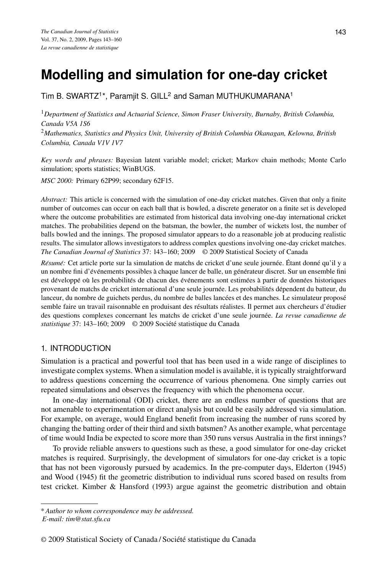# **Modelling and simulation for one-day cricket**

Tim B. SWARTZ<sup>1\*</sup>, Paramjit S. GILL<sup>2</sup> and Saman MUTHUKUMARANA<sup>1</sup>

<sup>1</sup>*Department of Statistics and Actuarial Science, Simon Fraser University, Burnaby, British Columbia, Canada V5A 1S6*

<sup>2</sup>*Mathematics, Statistics and Physics Unit, University of British Columbia Okanagan, Kelowna, British Columbia, Canada V1V 1V7*

*Key words and phrases:* Bayesian latent variable model; cricket; Markov chain methods; Monte Carlo simulation; sports statistics; WinBUGS.

*MSC 2000:* Primary 62P99; secondary 62F15.

*Abstract:* This article is concerned with the simulation of one-day cricket matches. Given that only a finite number of outcomes can occur on each ball that is bowled, a discrete generator on a finite set is developed where the outcome probabilities are estimated from historical data involving one-day international cricket matches. The probabilities depend on the batsman, the bowler, the number of wickets lost, the number of balls bowled and the innings. The proposed simulator appears to do a reasonable job at producing realistic results. The simulator allows investigators to address complex questions involving one-day cricket matches. *The Canadian Journal of Statistics* 37: 143–160; 2009 © 2009 Statistical Society of Canada

*Résumé*: Cet article porte sur la simulation de matchs de cricket d'une seule journée. Étant donné qu'il y a un nombre fini d'événements possibles à chaque lancer de balle, un générateur discret. Sur un ensemble fini est développé où les probabilités de chacun des événements sont estimées à partir de données historiques provenant de matchs de cricket international d'une seule journée. Les probabilités dépendent du batteur, du lanceur, du nombre de guichets perdus, du nombre de balles lancées et des manches. Le simulateur proposé semble faire un travail raisonnable en produisant des résultats réalistes. Il permet aux chercheurs d'étudier des questions complexes concernant les matchs de cricket d'une seule journée. La revue canadienne de *statistique* 37: 143–160; 2009 © 2009 Société statistique du Canada

## 1. INTRODUCTION

Simulation is a practical and powerful tool that has been used in a wide range of disciplines to investigate complex systems. When a simulation model is available, it is typically straightforward to address questions concerning the occurrence of various phenomena. One simply carries out repeated simulations and observes the frequency with which the phenomena occur.

In one-day international (ODI) cricket, there are an endless number of questions that are not amenable to experimentation or direct analysis but could be easily addressed via simulation. For example, on average, would England benefit from increasing the number of runs scored by changing the batting order of their third and sixth batsmen? As another example, what percentage of time would India be expected to score more than 350 runs versus Australia in the first innings?

To provide reliable answers to questions such as these, a good simulator for one-day cricket matches is required. Surprisingly, the development of simulators for one-day cricket is a topic that has not been vigorously pursued by academics. In the pre-computer days, Elderton (1945) and Wood (1945) fit the geometric distribution to individual runs scored based on results from test cricket. Kimber & Hansford (1993) argue against the geometric distribution and obtain

<sup>\*</sup> *Author to whom correspondence may be addressed.*

*E-mail: tim@stat.sfu.ca*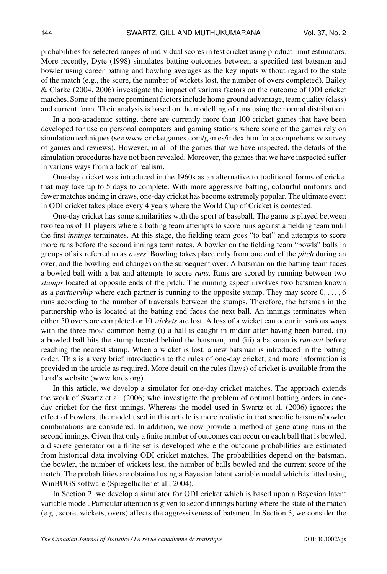probabilities for selected ranges of individual scores in test cricket using product-limit estimators. More recently, Dyte (1998) simulates batting outcomes between a specified test batsman and bowler using career batting and bowling averages as the key inputs without regard to the state of the match (e.g., the score, the number of wickets lost, the number of overs completed). Bailey & Clarke (2004, 2006) investigate the impact of various factors on the outcome of ODI cricket matches. Some of the more prominent factors include home ground advantage, team quality (class) and current form. Their analysis is based on the modelling of runs using the normal distribution.

In a non-academic setting, there are currently more than 100 cricket games that have been developed for use on personal computers and gaming stations where some of the games rely on simulation techniques (see www.cricketgames.com/games/index.htm for a comprehensive survey of games and reviews). However, in all of the games that we have inspected, the details of the simulation procedures have not been revealed. Moreover, the games that we have inspected suffer in various ways from a lack of realism.

One-day cricket was introduced in the 1960s as an alternative to traditional forms of cricket that may take up to 5 days to complete. With more aggressive batting, colourful uniforms and fewer matches ending in draws, one-day cricket has become extremely popular. The ultimate event in ODI cricket takes place every 4 years where the World Cup of Cricket is contested.

One-day cricket has some similarities with the sport of baseball. The game is played between two teams of 11 players where a batting team attempts to score runs against a fielding team until the first *innings* terminates. At this stage, the fielding team goes "to bat" and attempts to score more runs before the second innings terminates. A bowler on the fielding team "bowls" balls in groups of six referred to as *overs*. Bowling takes place only from one end of the *pitch* during an over, and the bowling end changes on the subsequent over. A batsman on the batting team faces a bowled ball with a bat and attempts to score *runs*. Runs are scored by running between two *stumps* located at opposite ends of the pitch. The running aspect involves two batsmen known as a *partnership* where each partner is running to the opposite stump. They may score 0*,...,* 6 runs according to the number of traversals between the stumps. Therefore, the batsman in the partnership who is located at the batting end faces the next ball. An innings terminates when either 50 overs are completed or 10 *wickets* are lost. A loss of a wicket can occur in various ways with the three most common being (i) a ball is caught in midair after having been batted, (ii) a bowled ball hits the stump located behind the batsman, and (iii) a batsman is *run-out* before reaching the nearest stump. When a wicket is lost, a new batsman is introduced in the batting order. This is a very brief introduction to the rules of one-day cricket, and more information is provided in the article as required. More detail on the rules (laws) of cricket is available from the Lord's website (www.lords.org).

In this article, we develop a simulator for one-day cricket matches. The approach extends the work of Swartz et al. (2006) who investigate the problem of optimal batting orders in oneday cricket for the first innings. Whereas the model used in Swartz et al. (2006) ignores the effect of bowlers, the model used in this article is more realistic in that specific batsman/bowler combinations are considered. In addition, we now provide a method of generating runs in the second innings. Given that only a finite number of outcomes can occur on each ball that is bowled, a discrete generator on a finite set is developed where the outcome probabilities are estimated from historical data involving ODI cricket matches. The probabilities depend on the batsman, the bowler, the number of wickets lost, the number of balls bowled and the current score of the match. The probabilities are obtained using a Bayesian latent variable model which is fitted using WinBUGS software (Spiegelhalter et al., 2004).

In Section 2, we develop a simulator for ODI cricket which is based upon a Bayesian latent variable model. Particular attention is given to second innings batting where the state of the match (e.g., score, wickets, overs) affects the aggressiveness of batsmen. In Section 3, we consider the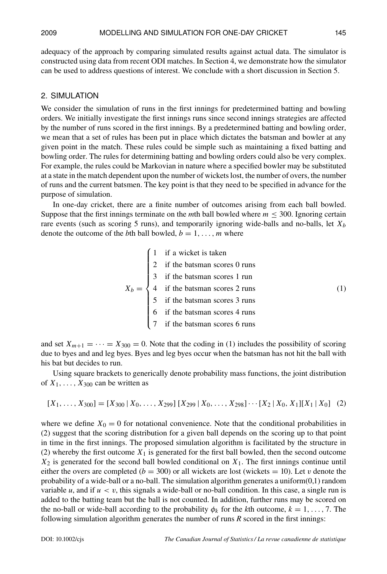adequacy of the approach by comparing simulated results against actual data. The simulator is constructed using data from recent ODI matches. In Section 4, we demonstrate how the simulator can be used to address questions of interest. We conclude with a short discussion in Section 5.

#### 2. SIMULATION

We consider the simulation of runs in the first innings for predetermined batting and bowling orders. We initially investigate the first innings runs since second innings strategies are affected by the number of runs scored in the first innings. By a predetermined batting and bowling order, we mean that a set of rules has been put in place which dictates the batsman and bowler at any given point in the match. These rules could be simple such as maintaining a fixed batting and bowling order. The rules for determining batting and bowling orders could also be very complex. For example, the rules could be Markovian in nature where a specified bowler may be substituted at a state in the match dependent upon the number of wickets lost, the number of overs, the number of runs and the current batsmen. The key point is that they need to be specified in advance for the purpose of simulation.

In one-day cricket, there are a finite number of outcomes arising from each ball bowled. Suppose that the first innings terminate on the *m*th ball bowled where  $m \leq 300$ . Ignoring certain rare events (such as scoring 5 runs), and temporarily ignoring wide-balls and no-balls, let  $X_b$ denote the outcome of the *b*th ball bowled,  $b = 1, \ldots, m$  where

|  | $\int 1$ if a wicket is taken                                                                     |  |
|--|---------------------------------------------------------------------------------------------------|--|
|  | 2 if the batsman scores $0$ runs                                                                  |  |
|  |                                                                                                   |  |
|  | 3 if the batsman scores 1 run<br>4 if the batsman scores 2 runs<br>5 if the batsman scores 3 runs |  |
|  |                                                                                                   |  |
|  | 6 if the batsman scores 4 runs                                                                    |  |
|  | $\begin{bmatrix} 7 & \text{if the batsman scores } 6 & \text{runs} \end{bmatrix}$                 |  |

and set  $X_{m+1} = \cdots = X_{300} = 0$ . Note that the coding in (1) includes the possibility of scoring due to byes and and leg byes. Byes and leg byes occur when the batsman has not hit the ball with his bat but decides to run.

Using square brackets to generically denote probability mass functions, the joint distribution of  $X_1, \ldots, X_{300}$  can be written as

$$
[X_1, \ldots, X_{300}] = [X_{300} \mid X_0, \ldots, X_{299}] [X_{299} \mid X_0, \ldots, X_{298}] \cdots [X_2 \mid X_0, X_1] [X_1 \mid X_0] \tag{2}
$$

where we define  $X_0 = 0$  for notational convenience. Note that the conditional probabilities in (2) suggest that the scoring distribution for a given ball depends on the scoring up to that point in time in the first innings. The proposed simulation algorithm is facilitated by the structure in (2) whereby the first outcome  $X_1$  is generated for the first ball bowled, then the second outcome  $X_2$  is generated for the second ball bowled conditional on  $X_1$ . The first innings continue until either the overs are completed ( $b = 300$ ) or all wickets are lost (wickets  $= 10$ ). Let *v* denote the probability of a wide-ball or a no-ball. The simulation algorithm generates a uniform $(0,1)$  random variable  $u$ , and if  $u < v$ , this signals a wide-ball or no-ball condition. In this case, a single run is added to the batting team but the ball is not counted. In addition, further runs may be scored on the no-ball or wide-ball according to the probability  $\phi_k$  for the *k*th outcome,  $k = 1, \ldots, 7$ . The following simulation algorithm generates the number of runs *R* scored in the first innings: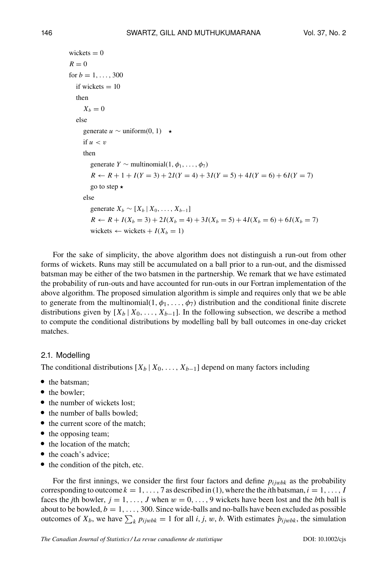```
wickets = 0R = 0for b = 1, \ldots, 300if wickets = 10then
X_b = 0else
generate u \sim uniform(0, 1) \starif u < vthen
   generate Y ∼ multinomial(1, \phi_1, \ldots, \phi_7)
   R \leftarrow R + 1 + I(Y = 3) + 2I(Y = 4) + 3I(Y = 5) + 4I(Y = 6) + 6I(Y = 7)go to step -

else
   generate X_b \sim [X_b | X_0, \ldots, X_{b-1}]R \leftarrow R + I(X_b = 3) + 2I(X_b = 4) + 3I(X_b = 5) + 4I(X_b = 6) + 6I(X_b = 7)wickets \leftarrow wickets + I(X_b = 1)
```
For the sake of simplicity, the above algorithm does not distinguish a run-out from other forms of wickets. Runs may still be accumulated on a ball prior to a run-out, and the dismissed batsman may be either of the two batsmen in the partnership. We remark that we have estimated the probability of run-outs and have accounted for run-outs in our Fortran implementation of the above algorithm. The proposed simulation algorithm is simple and requires only that we be able to generate from the multinomial(1,  $\phi_1, \ldots, \phi_\tau$ ) distribution and the conditional finite discrete distributions given by  $[X_b | X_0, \ldots, X_{b-1}]$ . In the following subsection, we describe a method to compute the conditional distributions by modelling ball by ball outcomes in one-day cricket matches.

## 2.1. Modelling

The conditional distributions  $[X_b | X_0, \ldots, X_{b-1}]$  depend on many factors including

- the batsman;
- the bowler:
- the number of wickets lost;
- the number of balls bowled;
- the current score of the match;
- the opposing team;
- the location of the match;
- the coach's advice;
- the condition of the pitch, etc.

For the first innings, we consider the first four factors and define  $p_{ijwbk}$  as the probability corresponding to outcome  $k = 1, \ldots, 7$  as described in (1), where the *i*th batsman,  $i = 1, \ldots, I$ faces the *j*th bowler,  $j = 1, \ldots, J$  when  $w = 0, \ldots, 9$  wickets have been lost and the *b*th ball is about to be bowled,  $b = 1, \ldots, 300$ . Since wide-balls and no-balls have been excluded as possible outcomes of  $X_b$ , we have  $\sum_k p_{ijwbk} = 1$  for all *i*, *j*, *w*, *b*. With estimates  $\hat{p}_{ijwbk}$ , the simulation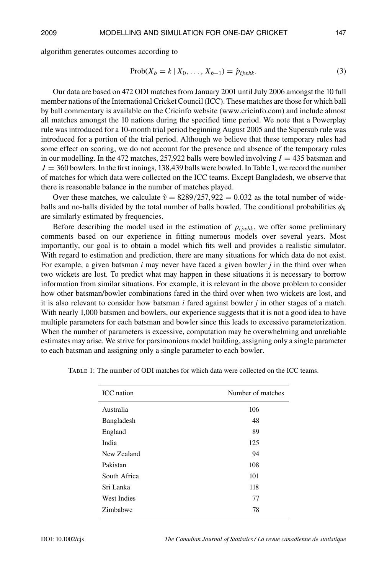algorithm generates outcomes according to

$$
Prob(X_b = k | X_0, \dots, X_{b-1}) = \hat{p}_{ijwbk}.
$$
\n(3)

Our data are based on 472 ODI matches from January 2001 until July 2006 amongst the 10 full member nations of the International Cricket Council (ICC). These matches are those for which ball by ball commentary is available on the Cricinfo website (www.cricinfo.com) and include almost all matches amongst the 10 nations during the specified time period. We note that a Powerplay rule was introduced for a 10-month trial period beginning August 2005 and the Supersub rule was introduced for a portion of the trial period. Although we believe that these temporary rules had some effect on scoring, we do not account for the presence and absence of the temporary rules in our modelling. In the 472 matches,  $257,922$  balls were bowled involving  $I = 435$  batsman and  $J = 360$  bowlers. In the first innings, 138,439 balls were bowled. In Table 1, we record the number of matches for which data were collected on the ICC teams. Except Bangladesh, we observe that there is reasonable balance in the number of matches played.

Over these matches, we calculate  $\hat{v} = 8289/257,922 = 0.032$  as the total number of wideballs and no-balls divided by the total number of balls bowled. The conditional probabilities  $\phi_k$ are similarly estimated by frequencies.

Before describing the model used in the estimation of  $p_{i j w b k}$ , we offer some preliminary comments based on our experience in fitting numerous models over several years. Most importantly, our goal is to obtain a model which fits well and provides a realistic simulator. With regard to estimation and prediction, there are many situations for which data do not exist. For example, a given batsman *i* may never have faced a given bowler *j* in the third over when two wickets are lost. To predict what may happen in these situations it is necessary to borrow information from similar situations. For example, it is relevant in the above problem to consider how other batsman/bowler combinations fared in the third over when two wickets are lost, and it is also relevant to consider how batsman *i* fared against bowler *j* in other stages of a match. With nearly 1,000 batsmen and bowlers, our experience suggests that it is not a good idea to have multiple parameters for each batsman and bowler since this leads to excessive parameterization. When the number of parameters is excessive, computation may be overwhelming and unreliable estimates may arise. We strive for parsimonious model building, assigning only a single parameter to each batsman and assigning only a single parameter to each bowler.

| ICC nation         | Number of matches |
|--------------------|-------------------|
| Australia          | 106               |
| Bangladesh         | 48                |
| England            | 89                |
| India              | 125               |
| New Zealand        | 94                |
| Pakistan           | 108               |
| South Africa       | 101               |
| Sri Lanka          | 118               |
| <b>West Indies</b> | 77                |
| Zimbabwe           | 78                |

Table 1: The number of ODI matches for which data were collected on the ICC teams.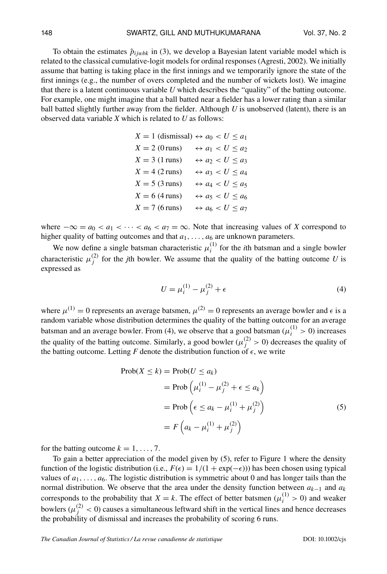To obtain the estimates  $\hat{p}_{ijwbk}$  in (3), we develop a Bayesian latent variable model which is related to the classical cumulative-logit models for ordinal responses (Agresti, 2002). We initially assume that batting is taking place in the first innings and we temporarily ignore the state of the first innings (e.g., the number of overs completed and the number of wickets lost). We imagine that there is a latent continuous variable *U* which describes the "quality" of the batting outcome. For example, one might imagine that a ball batted near a fielder has a lower rating than a similar ball batted slightly further away from the fielder. Although *U* is unobserved (latent), there is an observed data variable *X* which is related to *U* as follows:

| $X = 1$ (dismissal) $\Leftrightarrow a_0 < U \le a_1$ |                                    |
|-------------------------------------------------------|------------------------------------|
| $X = 2$ (0 runs)                                      | $\Leftrightarrow a_1 < U \leq a_2$ |
| $X = 3$ (1 runs)                                      | $\Leftrightarrow a_2 < U \leq a_3$ |
| $X = 4$ (2 runs)                                      | $\Leftrightarrow a_3 < U \leq a_4$ |
| $X = 5$ (3 runs)                                      | $\Leftrightarrow a_4 < U \leq a_5$ |
| $X = 6$ (4 runs)                                      | $\Leftrightarrow a_5 < U \le a_6$  |
| $X = 7$ (6 runs)                                      | $\Leftrightarrow a_6 < U \le a_7$  |

where  $-\infty = a_0 < a_1 < \cdots < a_6 < a_7 = \infty$ . Note that increasing values of *X* correspond to higher quality of batting outcomes and that  $a_1, \ldots, a_6$  are unknown parameters.

We now define a single batsman characteristic  $\mu_i^{(1)}$  for the *i*th batsman and a single bowler characteristic  $\mu_j^{(2)}$  for the *j*th bowler. We assume that the quality of the batting outcome *U* is expressed as

$$
U = \mu_i^{(1)} - \mu_j^{(2)} + \epsilon \tag{4}
$$

where  $\mu^{(1)} = 0$  represents an average batsmen,  $\mu^{(2)} = 0$  represents an average bowler and  $\epsilon$  is a random variable whose distribution determines the quality of the batting outcome for an average batsman and an average bowler. From (4), we observe that a good batsman ( $\mu_i^{(1)} > 0$ ) increases the quality of the batting outcome. Similarly, a good bowler  $(\mu_j^{(2)} > 0)$  decreases the quality of the batting outcome. Letting *F* denote the distribution function of  $\epsilon$ , we write

$$
\text{Prob}(X \le k) = \text{Prob}(U \le a_k)
$$
\n
$$
= \text{Prob}\left(\mu_i^{(1)} - \mu_j^{(2)} + \epsilon \le a_k\right)
$$
\n
$$
= \text{Prob}\left(\epsilon \le a_k - \mu_i^{(1)} + \mu_j^{(2)}\right)
$$
\n
$$
= F\left(a_k - \mu_i^{(1)} + \mu_j^{(2)}\right)
$$
\n(5)

for the batting outcome  $k = 1, \ldots, 7$ .

To gain a better appreciation of the model given by (5), refer to Figure 1 where the density function of the logistic distribution (i.e.,  $F(\epsilon) = 1/(1 + \exp(-\epsilon))$ ) has been chosen using typical values of  $a_1, \ldots, a_6$ . The logistic distribution is symmetric about 0 and has longer tails than the normal distribution. We observe that the area under the density function between *ak*−<sup>1</sup> and *ak* corresponds to the probability that  $X = k$ . The effect of better batsmen ( $\mu_i^{(1)} > 0$ ) and weaker bowlers ( $\mu_j^{(2)}$  < 0) causes a simultaneous leftward shift in the vertical lines and hence decreases the probability of dismissal and increases the probability of scoring 6 runs.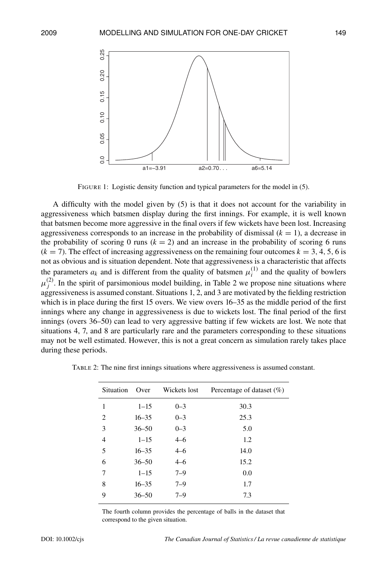

FIGURE 1: Logistic density function and typical parameters for the model in (5).

A difficulty with the model given by (5) is that it does not account for the variability in aggressiveness which batsmen display during the first innings. For example, it is well known that batsmen become more aggressive in the final overs if few wickets have been lost. Increasing aggressiveness corresponds to an increase in the probability of dismissal  $(k = 1)$ , a decrease in the probability of scoring 0 runs  $(k = 2)$  and an increase in the probability of scoring 6 runs  $(k = 7)$ . The effect of increasing aggressiveness on the remaining four outcomes  $k = 3, 4, 5, 6$  is not as obvious and is situation dependent. Note that aggressiveness is a characteristic that affects the parameters  $a_k$  and is different from the quality of batsmen  $\mu_i^{(1)}$  and the quality of bowlers  $\mu_j^{(2)}$ . In the spirit of parsimonious model building, in Table 2 we propose nine situations where aggressiveness is assumed constant. Situations 1, 2, and 3 are motivated by the fielding restriction which is in place during the first 15 overs. We view overs 16–35 as the middle period of the first innings where any change in aggressiveness is due to wickets lost. The final period of the first innings (overs 36–50) can lead to very aggressive batting if few wickets are lost. We note that situations 4, 7, and 8 are particularly rare and the parameters corresponding to these situations may not be well estimated. However, this is not a great concern as simulation rarely takes place during these periods.

| <b>Situation</b> | Over      | Wickets lost | Percentage of dataset $(\%)$ |  |  |  |
|------------------|-----------|--------------|------------------------------|--|--|--|
| 1                | $1 - 15$  | $0 - 3$      | 30.3                         |  |  |  |
| 2                | $16 - 35$ | $0 - 3$      | 25.3                         |  |  |  |
| 3                | $36 - 50$ | $0 - 3$      | 5.0                          |  |  |  |
| $\overline{4}$   | $1 - 15$  | $4 - 6$      | 1.2                          |  |  |  |
| 5                | $16 - 35$ | $4 - 6$      | 14.0                         |  |  |  |
| 6                | $36 - 50$ | $4 - 6$      | 15.2                         |  |  |  |
| 7                | $1 - 15$  | $7 - 9$      | 0.0                          |  |  |  |
| 8                | $16 - 35$ | $7 - 9$      | 1.7                          |  |  |  |
| 9                | $36 - 50$ | $7 - 9$      | 7.3                          |  |  |  |

Table 2: The nine first innings situations where aggressiveness is assumed constant.

The fourth column provides the percentage of balls in the dataset that correspond to the given situation.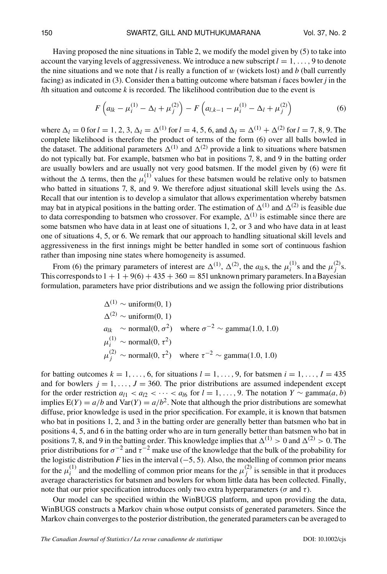Having proposed the nine situations in Table 2, we modify the model given by (5) to take into account the varying levels of aggressiveness. We introduce a new subscript  $l = 1, \ldots, 9$  to denote the nine situations and we note that *l* is really a function of *w* (wickets lost) and *b* (ball currently facing) as indicated in (3). Consider then a batting outcome where batsman *i* faces bowler *j* in the *l*th situation and outcome *k* is recorded. The likelihood contribution due to the event is

$$
F\left(a_{lk} - \mu_i^{(1)} - \Delta_l + \mu_j^{(2)}\right) - F\left(a_{l,k-1} - \mu_i^{(1)} - \Delta_l + \mu_j^{(2)}\right) \tag{6}
$$

where  $\Delta_l = 0$  for  $l = 1, 2, 3, \Delta_l = \Delta^{(1)}$  for  $l = 4, 5, 6$ , and  $\Delta_l = \Delta^{(1)} + \Delta^{(2)}$  for  $l = 7, 8, 9$ . The complete likelihood is therefore the product of terms of the form (6) over all balls bowled in the dataset. The additional parameters  $\Delta^{(1)}$  and  $\Delta^{(2)}$  provide a link to situations where batsmen do not typically bat. For example, batsmen who bat in positions 7, 8, and 9 in the batting order are usually bowlers and are usually not very good batsmen. If the model given by (6) were fit without the  $\Delta$  terms, then the  $\mu_i^{(1)}$  values for these batsmen would be relative only to batsmen who batted in situations 7, 8, and 9. We therefore adjust situational skill levels using the  $\Delta s$ . Recall that our intention is to develop a simulator that allows experimentation whereby batsmen may bat in atypical positions in the batting order. The estimation of  $\Delta^{(1)}$  and  $\Delta^{(2)}$  is feasible due to data corresponding to batsmen who crossover. For example,  $\Delta^{(1)}$  is estimable since there are some batsmen who have data in at least one of situations 1, 2, or 3 and who have data in at least one of situations 4, 5, or 6. We remark that our approach to handling situational skill levels and aggressiveness in the first innings might be better handled in some sort of continuous fashion rather than imposing nine states where homogeneity is assumed.

From (6) the primary parameters of interest are  $\Delta^{(1)}$ ,  $\Delta^{(2)}$ , the  $a_{lk}$ s, the  $\mu_i^{(1)}$ s and the  $\mu_j^{(2)}$ s. This corresponds to  $1 + 1 + 9(6) + 435 + 360 = 851$  unknown primary parameters. In a Bayesian formulation, parameters have prior distributions and we assign the following prior distributions

$$
\Delta^{(1)} \sim \text{uniform}(0, 1)
$$
  
\n
$$
\Delta^{(2)} \sim \text{uniform}(0, 1)
$$
  
\n
$$
a_{lk} \sim \text{normal}(0, \sigma^2) \quad \text{where } \sigma^{-2} \sim \text{gamma}(1.0, 1.0)
$$
  
\n
$$
\mu_i^{(1)} \sim \text{normal}(0, \tau^2)
$$
  
\n
$$
\mu_j^{(2)} \sim \text{normal}(0, \tau^2) \quad \text{where } \tau^{-2} \sim \text{gamma}(1.0, 1.0)
$$

for batting outcomes  $k = 1, \ldots, 6$ , for situations  $l = 1, \ldots, 9$ , for batsmen  $i = 1, \ldots, I = 435$ and for bowlers  $j = 1, \ldots, J = 360$ . The prior distributions are assumed independent except for the order restriction  $a_{l1} < a_{l2} < \cdots < a_{l6}$  for  $l = 1, \ldots, 9$ . The notation  $Y \sim \text{gamma}(a, b)$ implies  $E(Y) = a/b$  and  $Var(Y) = a/b^2$ . Note that although the prior distributions are somewhat diffuse, prior knowledge is used in the prior specification. For example, it is known that batsmen who bat in positions 1, 2, and 3 in the batting order are generally better than batsmen who bat in positions 4, 5, and 6 in the batting order who are in turn generally better than batsmen who bat in positions 7, 8, and 9 in the batting order. This knowledge implies that  $\Delta^{(1)} > 0$  and  $\Delta^{(2)} > 0$ . The prior distributions for  $\sigma^{-2}$  and  $\tau^{-2}$  make use of the knowledge that the bulk of the probability for the logistic distribution *F* lies in the interval ( $-5$ , 5). Also, the modelling of common prior means for the  $\mu_i^{(1)}$  and the modelling of common prior means for the  $\mu_j^{(2)}$  is sensible in that it produces average characteristics for batsmen and bowlers for whom little data has been collected. Finally, note that our prior specification introduces only two extra hyperparameters (*σ* and *τ*).

Our model can be specified within the WinBUGS platform, and upon providing the data, WinBUGS constructs a Markov chain whose output consists of generated parameters. Since the Markov chain converges to the posterior distribution, the generated parameters can be averaged to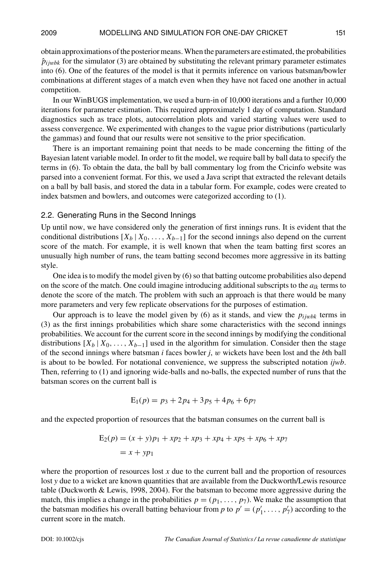obtain approximations of the posterior means.When the parameters are estimated, the probabilities  $\hat{p}_{jwbk}$  for the simulator (3) are obtained by substituting the relevant primary parameter estimates into (6). One of the features of the model is that it permits inference on various batsman/bowler combinations at different stages of a match even when they have not faced one another in actual competition.

In our WinBUGS implementation, we used a burn-in of 10,000 iterations and a further 10,000 iterations for parameter estimation. This required approximately 1 day of computation. Standard diagnostics such as trace plots, autocorrelation plots and varied starting values were used to assess convergence. We experimented with changes to the vague prior distributions (particularly the gammas) and found that our results were not sensitive to the prior specification.

There is an important remaining point that needs to be made concerning the fitting of the Bayesian latent variable model. In order to fit the model, we require ball by ball data to specify the terms in (6). To obtain the data, the ball by ball commentary log from the Cricinfo website was parsed into a convenient format. For this, we used a Java script that extracted the relevant details on a ball by ball basis, and stored the data in a tabular form. For example, codes were created to index batsmen and bowlers, and outcomes were categorized according to (1).

#### 2.2. Generating Runs in the Second Innings

Up until now, we have considered only the generation of first innings runs. It is evident that the conditional distributions  $[X_b | X_0, \ldots, X_{b-1}]$  for the second innings also depend on the current score of the match. For example, it is well known that when the team batting first scores an unusually high number of runs, the team batting second becomes more aggressive in its batting style.

One idea is to modify the model given by (6) so that batting outcome probabilities also depend on the score of the match. One could imagine introducing additional subscripts to the *alk* terms to denote the score of the match. The problem with such an approach is that there would be many more parameters and very few replicate observations for the purposes of estimation.

Our approach is to leave the model given by  $(6)$  as it stands, and view the  $p_{ijwbk}$  terms in (3) as the first innings probabilities which share some characteristics with the second innings probabilities. We account for the current score in the second innings by modifying the conditional distributions  $[X_b | X_0, \ldots, X_{b-1}]$  used in the algorithm for simulation. Consider then the stage of the second innings where batsman *i* faces bowler *j*, *w* wickets have been lost and the *b*th ball is about to be bowled. For notational convenience, we suppress the subscripted notation *ijwb*. Then, referring to (1) and ignoring wide-balls and no-balls, the expected number of runs that the batsman scores on the current ball is

$$
E_1(p) = p_3 + 2p_4 + 3p_5 + 4p_6 + 6p_7
$$

and the expected proportion of resources that the batsman consumes on the current ball is

$$
E_2(p) = (x + y)p_1 + xp_2 + xp_3 + xp_4 + xp_5 + xp_6 + xp_7
$$
  
= x + yp<sub>1</sub>

where the proportion of resources lost *x* due to the current ball and the proportion of resources lost *y* due to a wicket are known quantities that are available from the Duckworth/Lewis resource table (Duckworth & Lewis, 1998, 2004). For the batsman to become more aggressive during the match, this implies a change in the probabilities  $p = (p_1, \ldots, p_7)$ . We make the assumption that the batsman modifies his overall batting behaviour from *p* to  $p' = (p'_1, \ldots, p'_7)$  according to the current score in the match.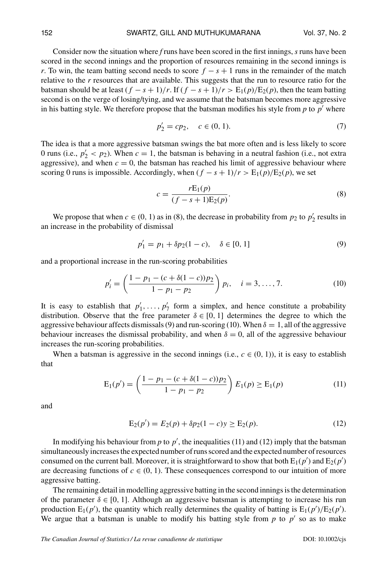Consider now the situation where *f* runs have been scored in the first innings, *s* runs have been scored in the second innings and the proportion of resources remaining in the second innings is *r*. To win, the team batting second needs to score  $f - s + 1$  runs in the remainder of the match relative to the *r* resources that are available. This suggests that the run to resource ratio for the batsman should be at least  $(f - s + 1)/r$ . If  $(f - s + 1)/r > E_1(p)/E_2(p)$ , then the team batting second is on the verge of losing/tying, and we assume that the batsman becomes more aggressive in his batting style. We therefore propose that the batsman modifies his style from  $p$  to  $p'$  where

$$
p'_2 = cp_2, \quad c \in (0, 1). \tag{7}
$$

The idea is that a more aggressive batsman swings the bat more often and is less likely to score 0 runs (i.e.,  $p'_2$  <  $p_2$ ). When  $c = 1$ , the batsman is behaving in a neutral fashion (i.e., not extra aggressive), and when  $c = 0$ , the batsman has reached his limit of aggressive behaviour where scoring 0 runs is impossible. Accordingly, when  $(f - s + 1)/r > E_1(p)/E_2(p)$ , we set

$$
c = \frac{rE_1(p)}{(f - s + 1)E_2(p)}.\tag{8}
$$

We propose that when  $c \in (0, 1)$  as in (8), the decrease in probability from  $p_2$  to  $p'_2$  results in an increase in the probability of dismissal

$$
p'_1 = p_1 + \delta p_2 (1 - c), \quad \delta \in [0, 1]
$$
\n(9)

and a proportional increase in the run-scoring probabilities

$$
p'_{i} = \left(\frac{1 - p_1 - (c + \delta(1 - c))p_2}{1 - p_1 - p_2}\right) p_i, \quad i = 3, ..., 7.
$$
 (10)

It is easy to establish that  $p'_1, \ldots, p'_7$  form a simplex, and hence constitute a probability distribution. Observe that the free parameter  $\delta \in [0, 1]$  determines the degree to which the aggressive behaviour affects dismissals (9) and run-scoring (10). When  $\delta = 1$ , all of the aggressive behaviour increases the dismissal probability, and when  $\delta = 0$ , all of the aggressive behaviour increases the run-scoring probabilities.

When a batsman is aggressive in the second innings (i.e.,  $c \in (0, 1)$ ), it is easy to establish that

$$
E_1(p') = \left(\frac{1 - p_1 - (c + \delta(1 - c))p_2}{1 - p_1 - p_2}\right) E_1(p) \ge E_1(p)
$$
\n(11)

and

$$
E_2(p') = E_2(p) + \delta p_2(1-c)y \ge E_2(p). \tag{12}
$$

In modifying his behaviour from  $p$  to  $p'$ , the inequalities (11) and (12) imply that the batsman simultaneously increases the expected number of runs scored and the expected number of resources consumed on the current ball. Moreover, it is straightforward to show that both  $E_1(p')$  and  $E_2(p')$ are decreasing functions of  $c \in (0, 1)$ . These consequences correspond to our intuition of more aggressive batting.

The remaining detail in modelling aggressive batting in the second innings is the determination of the parameter  $\delta \in [0, 1]$ . Although an aggressive batsman is attempting to increase his run production  $E_1(p)$ , the quantity which really determines the quality of batting is  $E_1(p')/E_2(p')$ . We argue that a batsman is unable to modify his batting style from  $p$  to  $p'$  so as to make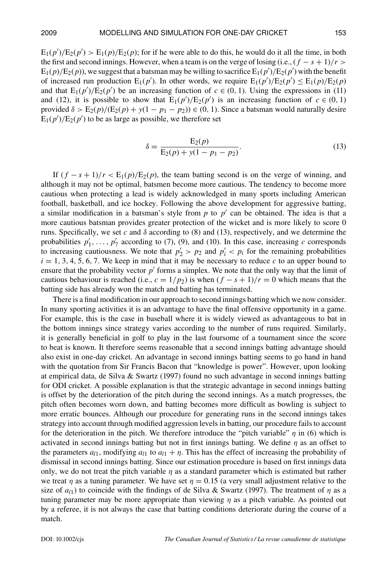$E_1(p')/E_2(p') > E_1(p)/E_2(p)$ ; for if he were able to do this, he would do it all the time, in both the first and second innings. However, when a team is on the verge of losing (i.e.,  $(f - s + 1)/r$ )  $E_1(p)/E_2(p)$ ), we suggest that a batsman may be willing to sacrifice  $E_1(p')/E_2(p')$  with the benefit of increased run production  $E_1(p')$ . In other words, we require  $E_1(p')/E_2(p') \le E_1(p)/E_2(p)$ and that  $E_1(p')/E_2(p')$  be an increasing function of  $c \in (0, 1)$ . Using the expressions in (11) and (12), it is possible to show that  $E_1(p')/E_2(p')$  is an increasing function of  $c \in (0, 1)$ provided  $\delta > E_2(p)/(E_2(p) + y(1 - p_1 - p_2)) \in (0, 1)$ . Since a batsman would naturally desire  $E_1(p')/E_2(p')$  to be as large as possible, we therefore set

$$
\delta = \frac{E_2(p)}{E_2(p) + y(1 - p_1 - p_2)}.\tag{13}
$$

If  $(f - s + 1)/r < E_1(p)/E_2(p)$ , the team batting second is on the verge of winning, and although it may not be optimal, batsmen become more cautious. The tendency to become more cautious when protecting a lead is widely acknowledged in many sports including American football, basketball, and ice hockey. Following the above development for aggressive batting, a similar modification in a batsman's style from  $p$  to  $p'$  can be obtained. The idea is that a more cautious batsman provides greater protection of the wicket and is more likely to score 0 runs. Specifically, we set *c* and *δ* according to (8) and (13), respectively, and we determine the probabilities  $p'_1, \ldots, p'_7$  according to (7), (9), and (10). In this case, increasing *c* corresponds to increasing cautiousness. We note that  $p'_2 > p_2$  and  $p'_i < p_i$  for the remaining probabilities  $i = 1, 3, 4, 5, 6, 7$ . We keep in mind that it may be necessary to reduce *c* to an upper bound to ensure that the probability vector  $p'$  forms a simplex. We note that the only way that the limit of cautious behaviour is reached (i.e.,  $c = 1/p_2$ ) is when  $(f - s + 1)/r = 0$  which means that the batting side has already won the match and batting has terminated.

There is a final modification in our approach to second innings batting which we now consider. In many sporting activities it is an advantage to have the final offensive opportunity in a game. For example, this is the case in baseball where it is widely viewed as advantageous to bat in the bottom innings since strategy varies according to the number of runs required. Similarly, it is generally beneficial in golf to play in the last foursome of a tournament since the score to beat is known. It therefore seems reasonable that a second innings batting advantage should also exist in one-day cricket. An advantage in second innings batting seems to go hand in hand with the quotation from Sir Francis Bacon that "knowledge is power". However, upon looking at empirical data, de Silva  $\&$  Swartz (1997) found no such advantage in second innings batting for ODI cricket. A possible explanation is that the strategic advantage in second innings batting is offset by the deterioration of the pitch during the second innings. As a match progresses, the pitch often becomes worn down, and batting becomes more difficult as bowling is subject to more erratic bounces. Although our procedure for generating runs in the second innings takes strategy into account through modified aggression levels in batting, our procedure fails to account for the deterioration in the pitch. We therefore introduce the "pitch variable"  $\eta$  in (6) which is activated in second innings batting but not in first innings batting. We define *η* as an offset to the parameters  $a_{l1}$ , modifying  $a_{l1}$  to  $a_{l1} + \eta$ . This has the effect of increasing the probability of dismissal in second innings batting. Since our estimation procedure is based on first innings data only, we do not treat the pitch variable *η* as a standard parameter which is estimated but rather we treat  $\eta$  as a tuning parameter. We have set  $\eta = 0.15$  (a very small adjustment relative to the size of  $a_{11}$ ) to coincide with the findings of de Silva & Swartz (1997). The treatment of  $\eta$  as a tuning parameter may be more appropriate than viewing *η* as a pitch variable. As pointed out by a referee, it is not always the case that batting conditions deteriorate during the course of a match.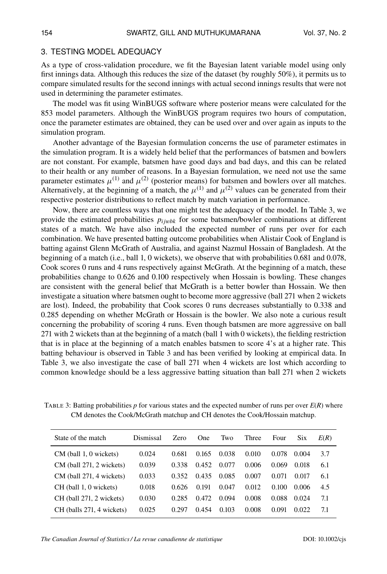#### 3. TESTING MODEL ADEQUACY

As a type of cross-validation procedure, we fit the Bayesian latent variable model using only first innings data. Although this reduces the size of the dataset (by roughly 50%), it permits us to compare simulated results for the second innings with actual second innings results that were not used in determining the parameter estimates.

The model was fit using WinBUGS software where posterior means were calculated for the 853 model parameters. Although the WinBUGS program requires two hours of computation, once the parameter estimates are obtained, they can be used over and over again as inputs to the simulation program.

Another advantage of the Bayesian formulation concerns the use of parameter estimates in the simulation program. It is a widely held belief that the performances of batsmen and bowlers are not constant. For example, batsmen have good days and bad days, and this can be related to their health or any number of reasons. In a Bayesian formulation, we need not use the same parameter estimates  $\mu^{(1)}$  and  $\mu^{(2)}$  (posterior means) for batsmen and bowlers over all matches. Alternatively, at the beginning of a match, the  $\mu^{(1)}$  and  $\mu^{(2)}$  values can be generated from their respective posterior distributions to reflect match by match variation in performance.

Now, there are countless ways that one might test the adequacy of the model. In Table 3, we provide the estimated probabilities *pijwbk* for some batsmen/bowler combinations at different states of a match. We have also included the expected number of runs per over for each combination. We have presented batting outcome probabilities when Alistair Cook of England is batting against Glenn McGrath of Australia, and against Nazmul Hossain of Bangladesh. At the beginning of a match (i.e., ball 1, 0 wickets), we observe that with probabilities 0.681 and 0.078, Cook scores 0 runs and 4 runs respectively against McGrath. At the beginning of a match, these probabilities change to 0.626 and 0.100 respectively when Hossain is bowling. These changes are consistent with the general belief that McGrath is a better bowler than Hossain. We then investigate a situation where batsmen ought to become more aggressive (ball 271 when 2 wickets are lost). Indeed, the probability that Cook scores 0 runs decreases substantially to 0.338 and 0.285 depending on whether McGrath or Hossain is the bowler. We also note a curious result concerning the probability of scoring 4 runs. Even though batsmen are more aggressive on ball 271 with 2 wickets than at the beginning of a match (ball 1 with 0 wickets), the fielding restriction that is in place at the beginning of a match enables batsmen to score 4's at a higher rate. This batting behaviour is observed in Table 3 and has been verified by looking at empirical data. In Table 3, we also investigate the case of ball 271 when 4 wickets are lost which according to common knowledge should be a less aggressive batting situation than ball 271 when 2 wickets

TABLE 3: Batting probabilities  $p$  for various states and the expected number of runs per over  $E(R)$  where CM denotes the Cook/McGrath matchup and CH denotes the Cook/Hossain matchup.

| State of the match        | Dismissal | Zero  | <b>One</b> | Two   | Three | Four  | <b>Six</b> | E(R) |
|---------------------------|-----------|-------|------------|-------|-------|-------|------------|------|
| CM (ball 1, 0 wickets)    | 0.024     | 0.681 | 0.165      | 0.038 | 0.010 | 0.078 | 0.004      | 3.7  |
| CM (ball 271, 2 wickets)  | 0.039     | 0.338 | 0.452      | 0.077 | 0.006 | 0.069 | 0.018      | 6.1  |
| CM (ball 271, 4 wickets)  | 0.033     | 0.352 | 0.435      | 0.085 | 0.007 | 0.071 | 0.017      | 6.1  |
| CH (ball 1, 0 wickets)    | 0.018     | 0.626 | 0.191      | 0.047 | 0.012 | 0.100 | 0.006      | 4.5  |
| CH (ball 271, 2 wickets)  | 0.030     | 0.285 | 0.472      | 0.094 | 0.008 | 0.088 | 0.024      | 7.1  |
| CH (balls 271, 4 wickets) | 0.025     | 0.297 | 0.454      | 0.103 | 0.008 | 0.091 | 0.022      | 7.1  |

*The Canadian Journal of Statistics / La revue canadienne de statistique* DOI: 10.1002/cjs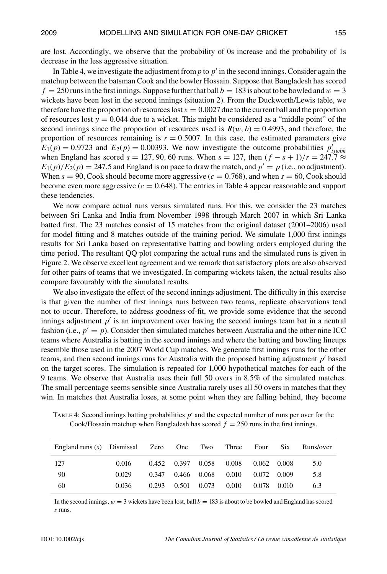are lost. Accordingly, we observe that the probability of 0s increase and the probability of 1s decrease in the less aggressive situation.

In Table 4, we investigate the adjustment from  $p$  to  $p'$  in the second innings. Consider again the matchup between the batsman Cook and the bowler Hossain. Suppose that Bangladesh has scored  $f = 250$  runs in the first innings. Suppose further that ball  $b = 183$  is about to be bowled and  $w = 3$ wickets have been lost in the second innings (situation 2). From the Duckworth/Lewis table, we therefore have the proportion of resources lost  $x = 0.0027$  due to the current ball and the proportion of resources lost  $y = 0.044$  due to a wicket. This might be considered as a "middle point" of the second innings since the proportion of resources used is  $R(w, b) = 0.4993$ , and therefore, the proportion of resources remaining is  $r = 0.5007$ . In this case, the estimated parameters give  $E_1(p) = 0.9723$  and  $E_2(p) = 0.00393$ . We now investigate the outcome probabilities  $p'_{ijwbk}$ when England has scored  $s = 127, 90, 60$  runs. When  $s = 127$ , then  $(f - s + 1)/r = 247.7 \approx$  $E_1(p)/E_2(p) = 247.5$  and England is on pace to draw the match, and  $p' = p$  (i.e., no adjustment). When  $s = 90$ , Cook should become more aggressive ( $c = 0.768$ ), and when  $s = 60$ , Cook should become even more aggressive  $(c = 0.648)$ . The entries in Table 4 appear reasonable and support these tendencies.

We now compare actual runs versus simulated runs. For this, we consider the 23 matches between Sri Lanka and India from November 1998 through March 2007 in which Sri Lanka batted first. The 23 matches consist of 15 matches from the original dataset (2001–2006) used for model fitting and 8 matches outside of the training period. We simulate 1,000 first innings results for Sri Lanka based on representative batting and bowling orders employed during the time period. The resultant QQ plot comparing the actual runs and the simulated runs is given in Figure 2. We observe excellent agreement and we remark that satisfactory plots are also observed for other pairs of teams that we investigated. In comparing wickets taken, the actual results also compare favourably with the simulated results.

We also investigate the effect of the second innings adjustment. The difficulty in this exercise is that given the number of first innings runs between two teams, replicate observations tend not to occur. Therefore, to address goodness-of-fit, we provide some evidence that the second innings adjustment  $p'$  is an improvement over having the second innings team bat in a neutral fashion (i.e.,  $p' = p$ ). Consider then simulated matches between Australia and the other nine ICC teams where Australia is batting in the second innings and where the batting and bowling lineups resemble those used in the 2007 World Cup matches. We generate first innings runs for the other teams, and then second innings runs for Australia with the proposed batting adjustment *p* based on the target scores. The simulation is repeated for 1,000 hypothetical matches for each of the 9 teams. We observe that Australia uses their full 50 overs in 8.5% of the simulated matches. The small percentage seems sensible since Australia rarely uses all 50 overs in matches that they win. In matches that Australia loses, at some point when they are falling behind, they become

TABLE 4: Second innings batting probabilities  $p'$  and the expected number of runs per over for the Cook/Hossain matchup when Bangladesh has scored  $f = 250$  runs in the first innings.

| England runs $(s)$ Dismissal Zero One Two Three Four |       |       |       |       |                                     |       | Six - | Runs/over |
|------------------------------------------------------|-------|-------|-------|-------|-------------------------------------|-------|-------|-----------|
| 127                                                  | 0.016 |       |       |       | 0.452 0.397 0.058 0.008 0.062 0.008 |       |       | 5.0       |
| 90                                                   | 0.029 | 0.347 |       |       | 0.466 0.068 0.010 0.072 0.009       |       |       | 5.8       |
| 60                                                   | 0.036 | 0.293 | 0.501 | 0.073 | 0.010                               | 0.078 | 0.010 | 6.3       |

In the second innings,  $w = 3$  wickets have been lost, ball  $b = 183$  is about to be bowled and England has scored *s* runs.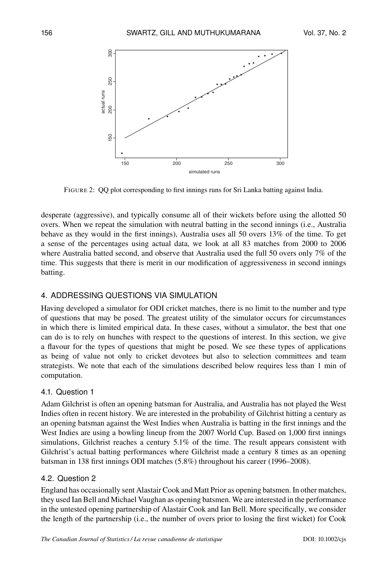

FIGURE 2: QQ plot corresponding to first innings runs for Sri Lanka batting against India.

desperate (aggressive), and typically consume all of their wickets before using the allotted 50 overs. When we repeat the simulation with neutral batting in the second innings (i.e., Australia behave as they would in the first innings), Australia uses all 50 overs 13% of the time. To get a sense of the percentages using actual data, we look at all 83 matches from 2000 to 2006 where Australia batted second, and observe that Australia used the full 50 overs only 7% of the time. This suggests that there is merit in our modification of aggressiveness in second innings batting.

## 4. ADDRESSING QUESTIONS VIA SIMULATION

Having developed a simulator for ODI cricket matches, there is no limit to the number and type of questions that may be posed. The greatest utility of the simulator occurs for circumstances in which there is limited empirical data. In these cases, without a simulator, the best that one can do is to rely on hunches with respect to the questions of interest. In this section, we give a flavour for the types of questions that might be posed. We see these types of applications as being of value not only to cricket devotees but also to selection committees and team strategists. We note that each of the simulations described below requires less than 1 min of computation.

## 4.1. Question 1

Adam Gilchrist is often an opening batsman for Australia, and Australia has not played the West Indies often in recent history. We are interested in the probability of Gilchrist hitting a century as an opening batsman against the West Indies when Australia is batting in the first innings and the West Indies are using a bowling lineup from the 2007 World Cup. Based on 1,000 first innings simulations, Gilchrist reaches a century 5.1% of the time. The result appears consistent with Gilchrist's actual batting performances where Gilchrist made a century 8 times as an opening batsman in 138 first innings ODI matches (5.8%) throughout his career (1996–2008).

## 4.2. Question 2

England has occasionally sent Alastair Cook and Matt Prior as opening batsmen. In other matches, they used Ian Bell and Michael Vaughan as opening batsmen. We are interested in the performance in the untested opening partnership of Alastair Cook and Ian Bell. More specifically, we consider the length of the partnership (i.e., the number of overs prior to losing the first wicket) for Cook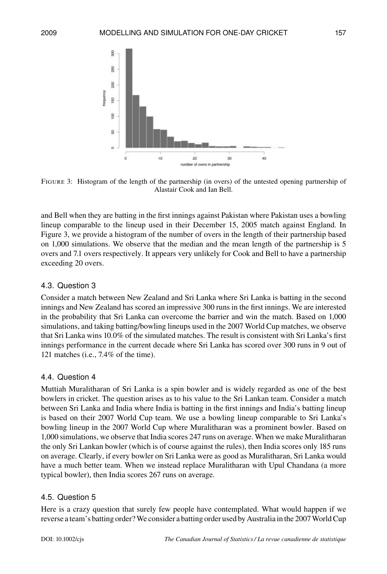

FIGURE 3: Histogram of the length of the partnership (in overs) of the untested opening partnership of Alastair Cook and Ian Bell.

and Bell when they are batting in the first innings against Pakistan where Pakistan uses a bowling lineup comparable to the lineup used in their December 15, 2005 match against England. In Figure 3, we provide a histogram of the number of overs in the length of their partnership based on 1,000 simulations. We observe that the median and the mean length of the partnership is 5 overs and 7.1 overs respectively. It appears very unlikely for Cook and Bell to have a partnership exceeding 20 overs.

## 4.3. Question 3

Consider a match between New Zealand and Sri Lanka where Sri Lanka is batting in the second innings and New Zealand has scored an impressive 300 runs in the first innings. We are interested in the probability that Sri Lanka can overcome the barrier and win the match. Based on 1,000 simulations, and taking batting/bowling lineups used in the 2007 World Cup matches, we observe that Sri Lanka wins 10.0% of the simulated matches. The result is consistent with Sri Lanka's first innings performance in the current decade where Sri Lanka has scored over 300 runs in 9 out of 121 matches (i.e., 7.4% of the time).

## 4.4. Question 4

Muttiah Muralitharan of Sri Lanka is a spin bowler and is widely regarded as one of the best bowlers in cricket. The question arises as to his value to the Sri Lankan team. Consider a match between Sri Lanka and India where India is batting in the first innings and India's batting lineup is based on their 2007 World Cup team. We use a bowling lineup comparable to Sri Lanka's bowling lineup in the 2007 World Cup where Muralitharan was a prominent bowler. Based on 1,000 simulations, we observe that India scores 247 runs on average. When we make Muralitharan the only Sri Lankan bowler (which is of course against the rules), then India scores only 185 runs on average. Clearly, if every bowler on Sri Lanka were as good as Muralitharan, Sri Lanka would have a much better team. When we instead replace Muralitharan with Upul Chandana (a more typical bowler), then India scores 267 runs on average.

## 4.5. Question 5

Here is a crazy question that surely few people have contemplated. What would happen if we reverse a team's batting order?We consider a batting order used by Australia in the 2007World Cup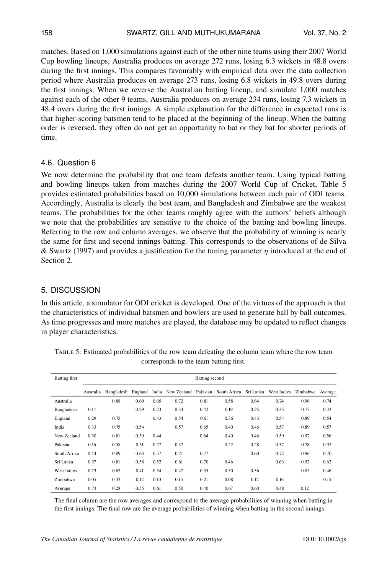matches. Based on 1,000 simulations against each of the other nine teams using their 2007 World Cup bowling lineups, Australia produces on average 272 runs, losing 6.3 wickets in 48.8 overs during the first innings. This compares favourably with empirical data over the data collection period where Australia produces on average 273 runs, losing 6.8 wickets in 49.8 overs during the first innings. When we reverse the Australian batting lineup, and simulate 1,000 matches against each of the other 9 teams, Australia produces on average 234 runs, losing 7.3 wickets in 48.4 overs during the first innings. A simple explanation for the difference in expected runs is that higher-scoring batsmen tend to be placed at the beginning of the lineup. When the batting order is reversed, they often do not get an opportunity to bat or they bat for shorter periods of time.

#### 4.6. Question 6

We now determine the probability that one team defeats another team. Using typical batting and bowling lineups taken from matches during the 2007 World Cup of Cricket, Table 5 provides estimated probabilities based on 10,000 simulations between each pair of ODI teams. Accordingly, Australia is clearly the best team, and Bangladesh and Zimbabwe are the weakest teams. The probabilities for the other teams roughly agree with the authors' beliefs although we note that the probabilities are sensitive to the choice of the batting and bowling lineups. Referring to the row and column averages, we observe that the probability of winning is nearly the same for first and second innings batting. This corresponds to the observations of de Silva & Swartz (1997) and provides a justification for the tuning parameter *η* introduced at the end of Section 2.

## 5. DISCUSSION

In this article, a simulator for ODI cricket is developed. One of the virtues of the approach is that the characteristics of individual batsmen and bowlers are used to generate ball by ball outcomes. As time progresses and more matches are played, the database may be updated to reflect changes in player characteristics.

| <b>Batting first</b> | <b>Batting</b> second |            |         |       |             |          |              |           |             |          |         |
|----------------------|-----------------------|------------|---------|-------|-------------|----------|--------------|-----------|-------------|----------|---------|
|                      | Australia             | Bangladesh | England | India | New Zealand | Pakistan | South Africa | Sri Lanka | West Indies | Zimbabwe | Average |
| Australia            |                       | 0.88       | 0.69    | 0.65  | 0.72        | 0.81     | 0.58         | 0.64      | 0.74        | 0.96     | 0.74    |
| Bangladesh           | 0.14                  |            | 0.29    | 0.23  | 0.34        | 0.42     | 0.19         | 0.25      | 0.35        | 0.77     | 0.33    |
| England              | 0.29                  | 0.75       |         | 0.43  | 0.54        | 0.61     | 0.36         | 0.43      | 0.54        | 0.89     | 0.54    |
| India                | 0.33                  | 0.75       | 0.54    |       | 0.57        | 0.65     | 0.40         | 0.46      | 0.57        | 0.89     | 0.57    |
| New Zealand          | 0.30                  | 0.81       | 0.50    | 0.44  |             | 0.64     | 0.40         | 0.46      | 0.59        | 0.92     | 0.56    |
| Pakistan             | 0.16                  | 0.58       | 0.31    | 0.27  | 0.37        |          | 0.22         | 0.28      | 0.37        | 0.78     | 0.37    |
| South Africa         | 0.44                  | 0.89       | 0.63    | 0.57  | 0.71        | 0.77     |              | 0.60      | 0.72        | 0.96     | 0.70    |
| Sri Lanka            | 0.37                  | 0.81       | 0.58    | 0.52  | 0.61        | 0.70     | 0.46         |           | 0.63        | 0.92     | 0.62    |
| West Indies          | 0.23                  | 0.67       | 0.41    | 0.34  | 0.47        | 0.55     | 0.30         | 0.36      |             | 0.85     | 0.46    |
| Zimbabwe             | 0.05                  | 0.33       | 0.12    | 0.10  | 0.15        | 0.21     | 0.08         | 0.12      | 0.16        |          | 0.15    |
| Average              | 0.74                  | 0.28       | 0.55    | 0.61  | 0.50        | 0.40     | 0.67         | 0.60      | 0.48        | 0.12     |         |

Table 5: Estimated probabilities of the row team defeating the column team where the row team corresponds to the team batting first.

The final column are the row averages and correspond to the average probabilities of winning when batting in the first innings. The final row are the average probabilities of winning when batting in the second innings.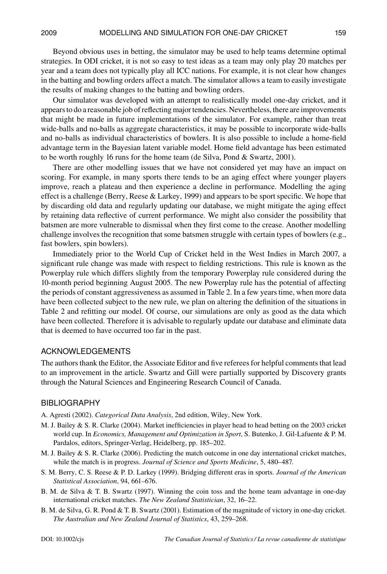Beyond obvious uses in betting, the simulator may be used to help teams determine optimal strategies. In ODI cricket, it is not so easy to test ideas as a team may only play 20 matches per year and a team does not typically play all ICC nations. For example, it is not clear how changes in the batting and bowling orders affect a match. The simulator allows a team to easily investigate the results of making changes to the batting and bowling orders.

Our simulator was developed with an attempt to realistically model one-day cricket, and it appears to do a reasonable job of reflecting major tendencies. Nevertheless, there are improvements that might be made in future implementations of the simulator. For example, rather than treat wide-balls and no-balls as aggregate characteristics, it may be possible to incorporate wide-balls and no-balls as individual characteristics of bowlers. It is also possible to include a home-field advantage term in the Bayesian latent variable model. Home field advantage has been estimated to be worth roughly 16 runs for the home team (de Silva, Pond & Swartz, 2001).

There are other modelling issues that we have not considered yet may have an impact on scoring. For example, in many sports there tends to be an aging effect where younger players improve, reach a plateau and then experience a decline in performance. Modelling the aging effect is a challenge (Berry, Reese & Larkey, 1999) and appears to be sport specific. We hope that by discarding old data and regularly updating our database, we might mitigate the aging effect by retaining data reflective of current performance. We might also consider the possibility that batsmen are more vulnerable to dismissal when they first come to the crease. Another modelling challenge involves the recognition that some batsmen struggle with certain types of bowlers (e.g., fast bowlers, spin bowlers).

Immediately prior to the World Cup of Cricket held in the West Indies in March 2007, a significant rule change was made with respect to fielding restrictions. This rule is known as the Powerplay rule which differs slightly from the temporary Powerplay rule considered during the 10-month period beginning August 2005. The new Powerplay rule has the potential of affecting the periods of constant aggressiveness as assumed in Table 2. In a few years time, when more data have been collected subject to the new rule, we plan on altering the definition of the situations in Table 2 and refitting our model. Of course, our simulations are only as good as the data which have been collected. Therefore it is advisable to regularly update our database and eliminate data that is deemed to have occurred too far in the past.

#### ACKNOWLEDGEMENTS

The authors thank the Editor, the Associate Editor and five referees for helpful comments that lead to an improvement in the article. Swartz and Gill were partially supported by Discovery grants through the Natural Sciences and Engineering Research Council of Canada.

#### BIBLIOGRAPHY

A. Agresti (2002). *Categorical Data Analysis*, 2nd edition, Wiley, New York.

- M. J. Bailey & S. R. Clarke (2004). Market inefficiencies in player head to head betting on the 2003 cricket world cup. In *Economics, Management and Optimization in Sport*, S. Butenko, J. Gil-Lafuente & P. M. Pardalos, editors, Springer-Verlag, Heidelberg, pp. 185–202.
- M. J. Bailey & S. R. Clarke (2006). Predicting the match outcome in one day international cricket matches, while the match is in progress. *Journal of Science and Sports Medicine*, 5, 480–487.
- S. M. Berry, C. S. Reese & P. D. Larkey (1999). Bridging different eras in sports. *Journal of the American Statistical Association*, 94, 661–676.
- B. M. de Silva & T. B. Swartz (1997). Winning the coin toss and the home team advantage in one-day international cricket matches. *The New Zealand Statistician*, 32, 16–22.
- B. M. de Silva, G. R. Pond & T. B. Swartz (2001). Estimation of the magnitude of victory in one-day cricket. *The Australian and New Zealand Journal of Statistics*, 43, 259–268.